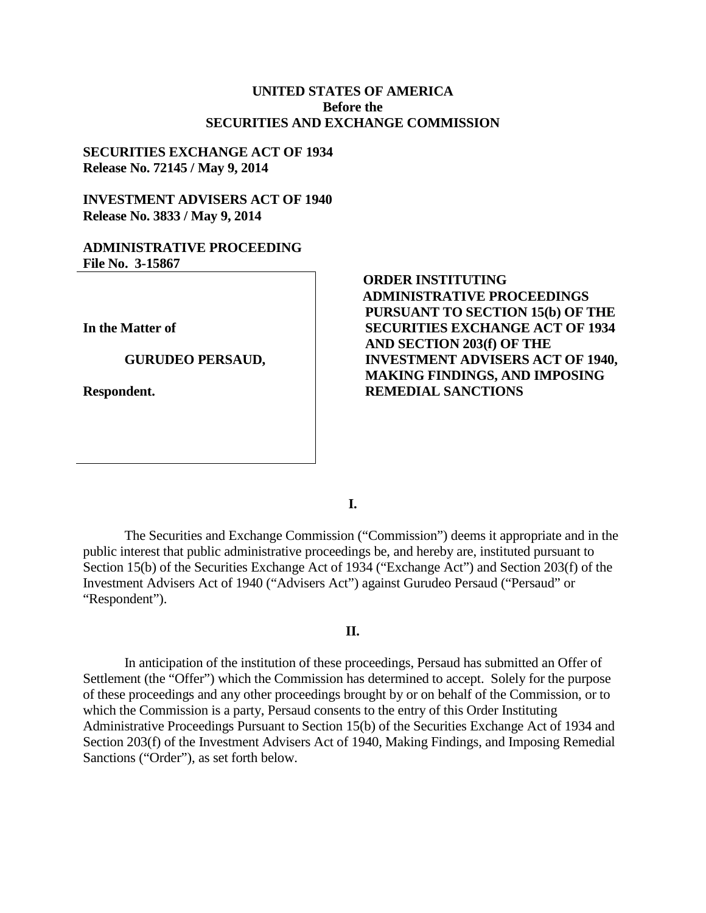## **UNITED STATES OF AMERICA Before the SECURITIES AND EXCHANGE COMMISSION**

## **SECURITIES EXCHANGE ACT OF 1934 Release No. 72145 / May 9, 2014**

# **INVESTMENT ADVISERS ACT OF 1940 Release No. 3833 / May 9, 2014**

## **ADMINISTRATIVE PROCEEDING File No. 3-15867**

**In the Matter of**

#### **GURUDEO PERSAUD,**

**Respondent.**

# **ORDER INSTITUTING ADMINISTRATIVE PROCEEDINGS PURSUANT TO SECTION 15(b) OF THE SECURITIES EXCHANGE ACT OF 1934 AND SECTION 203(f) OF THE INVESTMENT ADVISERS ACT OF 1940, MAKING FINDINGS, AND IMPOSING REMEDIAL SANCTIONS**

**I.**

The Securities and Exchange Commission ("Commission") deems it appropriate and in the public interest that public administrative proceedings be, and hereby are, instituted pursuant to Section 15(b) of the Securities Exchange Act of 1934 ("Exchange Act") and Section 203(f) of the Investment Advisers Act of 1940 ("Advisers Act") against Gurudeo Persaud ("Persaud" or "Respondent").

## **II.**

In anticipation of the institution of these proceedings, Persaud has submitted an Offer of Settlement (the "Offer") which the Commission has determined to accept. Solely for the purpose of these proceedings and any other proceedings brought by or on behalf of the Commission, or to which the Commission is a party, Persaud consents to the entry of this Order Instituting Administrative Proceedings Pursuant to Section 15(b) of the Securities Exchange Act of 1934 and Section 203(f) of the Investment Advisers Act of 1940, Making Findings, and Imposing Remedial Sanctions ("Order"), as set forth below.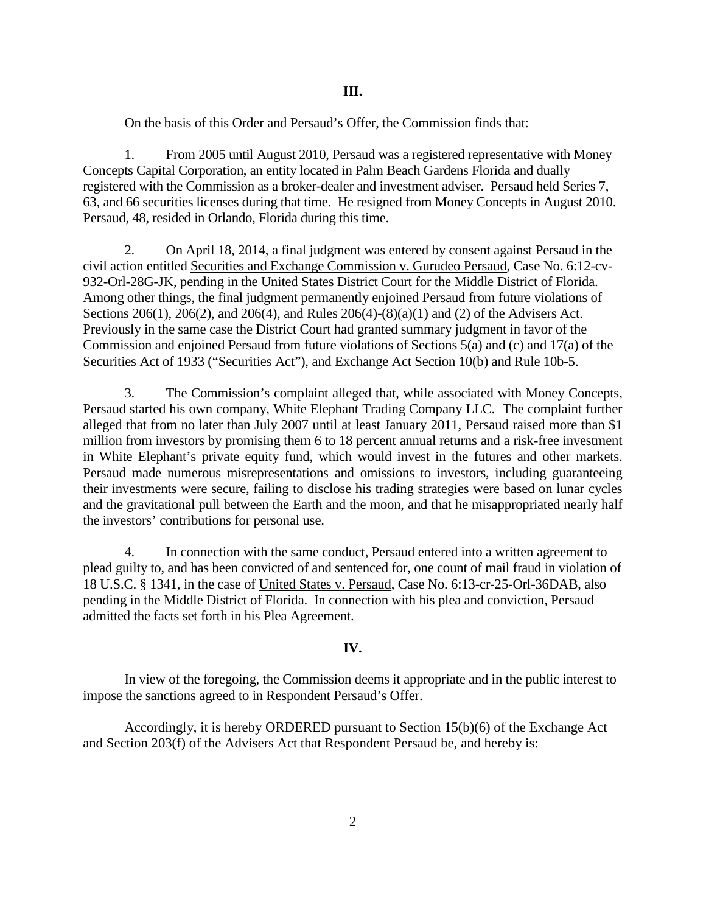On the basis of this Order and Persaud's Offer, the Commission finds that:

1. From 2005 until August 2010, Persaud was a registered representative with Money Concepts Capital Corporation, an entity located in Palm Beach Gardens Florida and dually registered with the Commission as a broker-dealer and investment adviser. Persaud held Series 7, 63, and 66 securities licenses during that time. He resigned from Money Concepts in August 2010. Persaud, 48, resided in Orlando, Florida during this time.

2. On April 18, 2014, a final judgment was entered by consent against Persaud in the civil action entitled Securities and Exchange Commission v. Gurudeo Persaud, Case No. 6:12-cv-932-Orl-28G-JK, pending in the United States District Court for the Middle District of Florida. Among other things, the final judgment permanently enjoined Persaud from future violations of Sections 206(1), 206(2), and 206(4), and Rules 206(4)-(8)(a)(1) and (2) of the Advisers Act. Previously in the same case the District Court had granted summary judgment in favor of the Commission and enjoined Persaud from future violations of Sections 5(a) and (c) and 17(a) of the Securities Act of 1933 ("Securities Act"), and Exchange Act Section 10(b) and Rule 10b-5.

3. The Commission's complaint alleged that, while associated with Money Concepts, Persaud started his own company, White Elephant Trading Company LLC. The complaint further alleged that from no later than July 2007 until at least January 2011, Persaud raised more than \$1 million from investors by promising them 6 to 18 percent annual returns and a risk-free investment in White Elephant's private equity fund, which would invest in the futures and other markets. Persaud made numerous misrepresentations and omissions to investors, including guaranteeing their investments were secure, failing to disclose his trading strategies were based on lunar cycles and the gravitational pull between the Earth and the moon, and that he misappropriated nearly half the investors' contributions for personal use.

4. In connection with the same conduct, Persaud entered into a written agreement to plead guilty to, and has been convicted of and sentenced for, one count of mail fraud in violation of 18 U.S.C. § 1341, in the case of United States v. Persaud, Case No. 6:13-cr-25-Orl-36DAB, also pending in the Middle District of Florida. In connection with his plea and conviction, Persaud admitted the facts set forth in his Plea Agreement.

# **IV.**

In view of the foregoing, the Commission deems it appropriate and in the public interest to impose the sanctions agreed to in Respondent Persaud's Offer.

Accordingly, it is hereby ORDERED pursuant to Section 15(b)(6) of the Exchange Act and Section 203(f) of the Advisers Act that Respondent Persaud be, and hereby is: